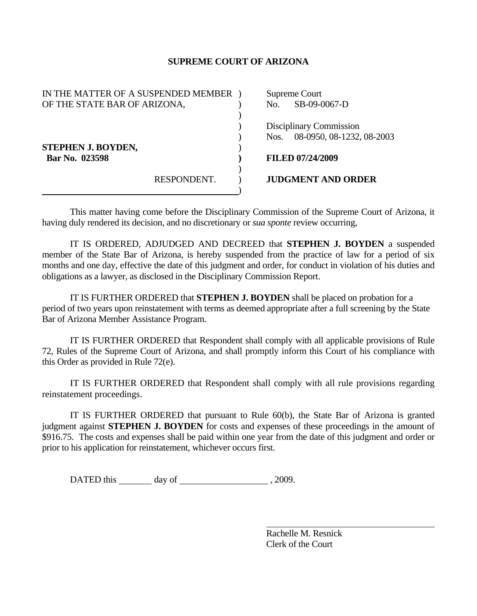## **SUPREME COURT OF ARIZONA**

| IN THE MATTER OF A SUSPENDED MEMBER |             | Supreme Court |                           |
|-------------------------------------|-------------|---------------|---------------------------|
| OF THE STATE BAR OF ARIZONA,        |             | No.           | SB-09-0067-D              |
|                                     |             |               |                           |
|                                     |             |               | Disciplinary Commission   |
|                                     |             | Nos.          | 08-0950, 08-1232, 08-2003 |
| <b>STEPHEN J. BOYDEN,</b>           |             |               |                           |
| Bar No. 023598                      |             |               | <b>FILED 07/24/2009</b>   |
|                                     |             |               |                           |
|                                     | RESPONDENT. |               | <b>JUDGMENT AND ORDER</b> |
|                                     |             |               |                           |

 This matter having come before the Disciplinary Commission of the Supreme Court of Arizona, it having duly rendered its decision, and no discretionary or *sua sponte* review occurring,

 IT IS ORDERED, ADJUDGED AND DECREED that **STEPHEN J. BOYDEN** a suspended member of the State Bar of Arizona, is hereby suspended from the practice of law for a period of six months and one day, effective the date of this judgment and order, for conduct in violation of his duties and obligations as a lawyer, as disclosed in the Disciplinary Commission Report.

 IT IS FURTHER ORDERED that **STEPHEN J. BOYDEN** shall be placed on probation for a period of two years upon reinstatement with terms as deemed appropriate after a full screening by the State Bar of Arizona Member Assistance Program.

 IT IS FURTHER ORDERED that Respondent shall comply with all applicable provisions of Rule 72, Rules of the Supreme Court of Arizona, and shall promptly inform this Court of his compliance with this Order as provided in Rule 72(e).

 IT IS FURTHER ORDERED that Respondent shall comply with all rule provisions regarding reinstatement proceedings.

 IT IS FURTHER ORDERED that pursuant to Rule 60(b), the State Bar of Arizona is granted judgment against **STEPHEN J. BOYDEN** for costs and expenses of these proceedings in the amount of \$916.75. The costs and expenses shall be paid within one year from the date of this judgment and order or prior to his application for reinstatement, whichever occurs first.

DATED this day of  $\frac{1}{2009}$ .

 Rachelle M. Resnick Clerk of the Court